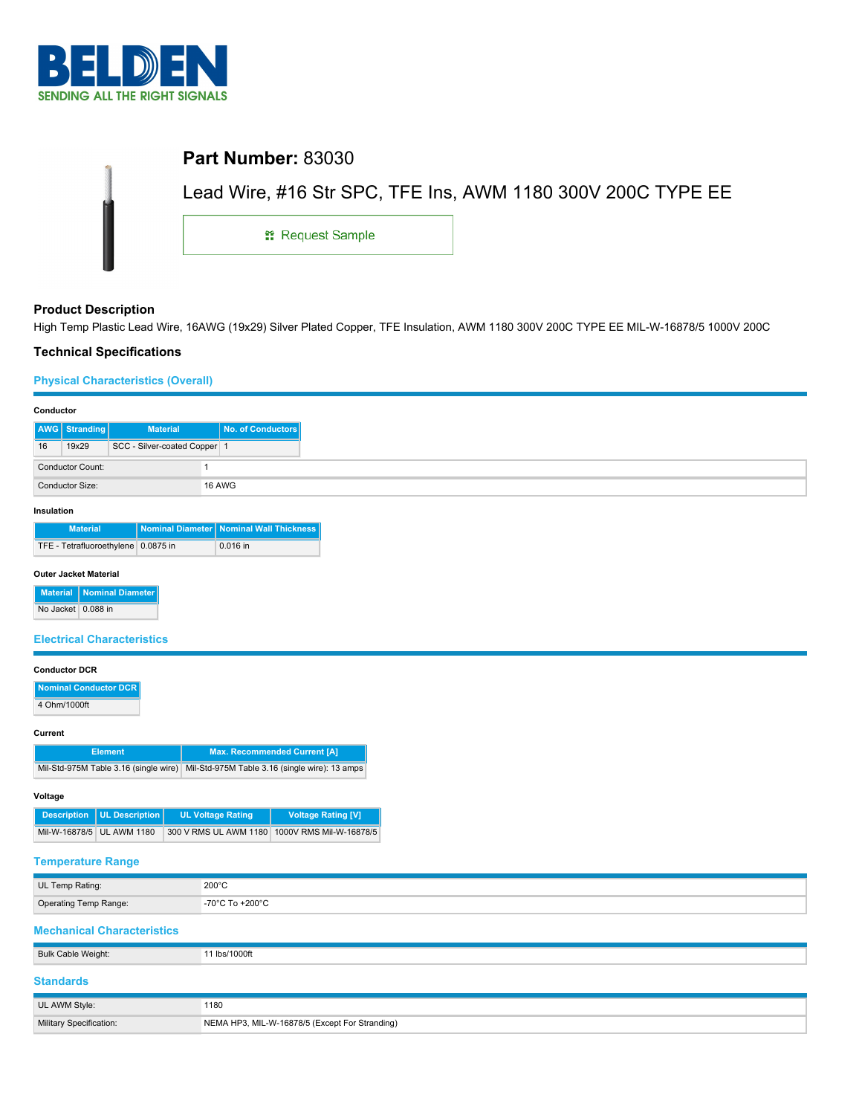

| <b>Part Number: 83030</b> |                                                             |
|---------------------------|-------------------------------------------------------------|
|                           | Lead Wire, #16 Str SPC, TFE Ins, AWM 1180 300V 200C TYPE EE |
| <b>: Request Sample</b>   |                                                             |

## **Product Description**

High Temp Plastic Lead Wire, 16AWG (19x29) Silver Plated Copper, TFE Insulation, AWM 1180 300V 200C TYPE EE MIL-W-16878/5 1000V 200C

## **Technical Specifications**

### **Physical Characteristics (Overall)**

| Conductor  |                         |                              |                   |
|------------|-------------------------|------------------------------|-------------------|
|            | <b>AWG</b> Stranding    | <b>Material</b>              | No. of Conductors |
| 16         | 19x29                   | SCC - Silver-coated Copper 1 |                   |
|            | <b>Conductor Count:</b> |                              |                   |
|            | Conductor Size:         |                              | 16 AWG            |
| Insulation |                         |                              |                   |

| <b>Material</b>                     | Nominal Diameter   Nominal Wall Thickness |
|-------------------------------------|-------------------------------------------|
| TFE - Tetrafluoroethylene 0.0875 in | $0.016$ in                                |

### **Outer Jacket Material**

|                    | Material   Nominal Diameter |
|--------------------|-----------------------------|
| No Jacket 0.088 in |                             |

### **Electrical Characteristics**

| <b>Conductor DCR</b> |  |
|----------------------|--|
|                      |  |

| Nominal Conductor DCR |
|-----------------------|
| 4 Ohm/1000ft          |

#### **Current**

| <b>Element</b> | Max. Recommended Current [A]                                                         |
|----------------|--------------------------------------------------------------------------------------|
|                | Mil-Std-975M Table 3.16 (single wire) Mil-Std-975M Table 3.16 (single wire): 13 amps |

#### **Voltage**

| Description   UL Description | <b>UL Voltage Rating</b> | <b>Voltage Rating [V]</b>                     |
|------------------------------|--------------------------|-----------------------------------------------|
| Mil-W-16878/5 UL AWM 1180    |                          | 300 V RMS UL AWM 1180 1000 VRMS Mil-W-16878/5 |

## **Temperature Range**

| UL Temp Rating:       | 200°C                |
|-----------------------|----------------------|
| Operating Temp Range: | -70°C To +200°C<br>. |

## **Mechanical Characteristics**

| Bulk Cable Weight:      | 11 lbs/1000ft                                  |
|-------------------------|------------------------------------------------|
| <b>Standards</b>        |                                                |
| UL AWM Style:           | 1180                                           |
| Military Specification: | NEMA HP3, MIL-W-16878/5 (Except For Stranding) |